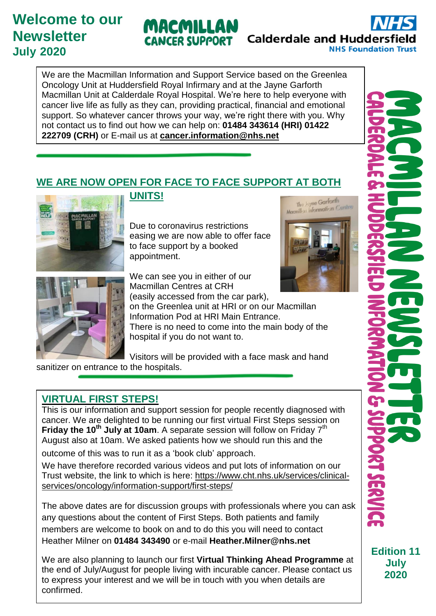# **Welcome to our Newsletter July 2020**



**Calderdale and Huddersfie NHS Foundation Trust** 

> The Juyne Garforth Macmillen Information Centre

We are the Macmillan Information and Support Service based on the Greenlea Oncology Unit at Huddersfield Royal Infirmary and at the Jayne Garforth Macmillan Unit at Calderdale Royal Hospital. We're here to help everyone with cancer live life as fully as they can, providing practical, financial and emotional support. So whatever cancer throws your way, we're right there with you. Why not contact us to find out how we can help on: **01484 343614 (HRI) 01422 222709 (CRH)** or E-mail us at **[cancer.information@nhs.net](mailto:cancer.information@nhs.net)**

### **WE ARE NOW OPEN FOR FACE TO FACE SUPPORT AT BOTH**



#### **UNITS!**

Due to coronavirus restrictions easing we are now able to offer face to face support by a booked appointment.



We can see you in either of our Macmillan Centres at CRH

(easily accessed from the car park), on the Greenlea unit at HRI or on our Macmillan

Information Pod at HRI Main Entrance.

There is no need to come into the main body of the hospital if you do not want to.

Visitors will be provided with a face mask and hand sanitizer on entrance to the hospitals.

#### **VIRTUAL FIRST STEPS!**

This is our information and support session for people recently diagnosed with cancer. We are delighted to be running our first virtual First Steps session on **Friday the 10th July at 10am**. A separate session will follow on Friday 7 th August also at 10am. We asked patients how we should run this and the

outcome of this was to run it as a 'book club' approach.

We have therefore recorded various videos and put lots of information on our Trust website, the link to which is here: [https://www.cht.nhs.uk/services/clinical](https://www.cht.nhs.uk/services/clinical-services/oncology/information-support/first-steps/)[services/oncology/information-support/first-steps/](https://www.cht.nhs.uk/services/clinical-services/oncology/information-support/first-steps/)

The above dates are for discussion groups with professionals where you can ask any questions about the content of First Steps. Both patients and family members are welcome to book on and to do this you will need to contact Heather Milner on **01484 343490** or e-mail **Heather.Milner@nhs.net**

We are also planning to launch our first **Virtual Thinking Ahead Programme** at the end of July/August for people living with incurable cancer. Please contact us to express your interest and we will be in touch with you when details are confirmed.

**July 2020**